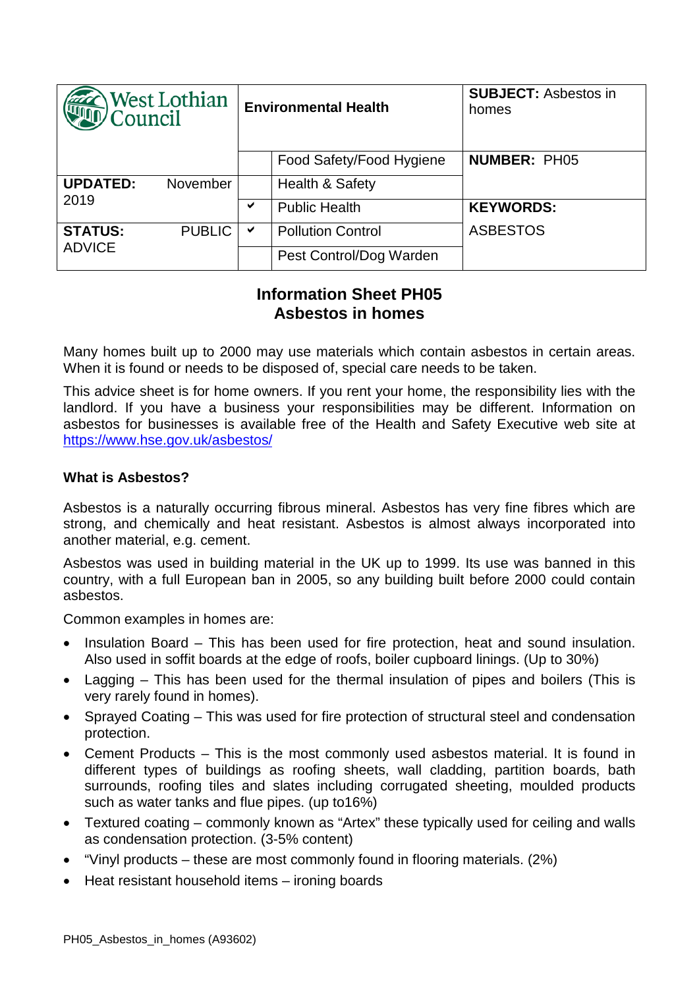| West Lothian<br>Council         |               | <b>Environmental Health</b> |                            | <b>SUBJECT: Asbestos in</b><br>homes |
|---------------------------------|---------------|-----------------------------|----------------------------|--------------------------------------|
|                                 |               |                             | Food Safety/Food Hygiene   | <b>NUMBER: PH05</b>                  |
| <b>UPDATED:</b><br>2019         | November      |                             | <b>Health &amp; Safety</b> |                                      |
|                                 |               | ✔                           | <b>Public Health</b>       | <b>KEYWORDS:</b>                     |
| <b>STATUS:</b><br><b>ADVICE</b> | <b>PUBLIC</b> | ✔                           | <b>Pollution Control</b>   | <b>ASBESTOS</b>                      |
|                                 |               |                             | Pest Control/Dog Warden    |                                      |

# **Information Sheet PH05 Asbestos in homes**

Many homes built up to 2000 may use materials which contain asbestos in certain areas. When it is found or needs to be disposed of, special care needs to be taken.

This advice sheet is for home owners. If you rent your home, the responsibility lies with the landlord. If you have a business your responsibilities may be different. Information on asbestos for businesses is available free of the Health and Safety Executive web site at <https://www.hse.gov.uk/asbestos/>

## **What is Asbestos?**

Asbestos is a naturally occurring fibrous mineral. Asbestos has very fine fibres which are strong, and chemically and heat resistant. Asbestos is almost always incorporated into another material, e.g. cement.

Asbestos was used in building material in the UK up to 1999. Its use was banned in this country, with a full European ban in 2005, so any building built before 2000 could contain asbestos.

Common examples in homes are:

- Insulation Board This has been used for fire protection, heat and sound insulation. Also used in soffit boards at the edge of roofs, boiler cupboard linings. (Up to 30%)
- Lagging This has been used for the thermal insulation of pipes and boilers (This is very rarely found in homes).
- Sprayed Coating This was used for fire protection of structural steel and condensation protection.
- Cement Products This is the most commonly used asbestos material. It is found in different types of buildings as roofing sheets, wall cladding, partition boards, bath surrounds, roofing tiles and slates including corrugated sheeting, moulded products such as water tanks and flue pipes. (up to16%)
- Textured coating commonly known as "Artex" these typically used for ceiling and walls as condensation protection. (3-5% content)
- "Vinyl products these are most commonly found in flooring materials. (2%)
- Heat resistant household items ironing boards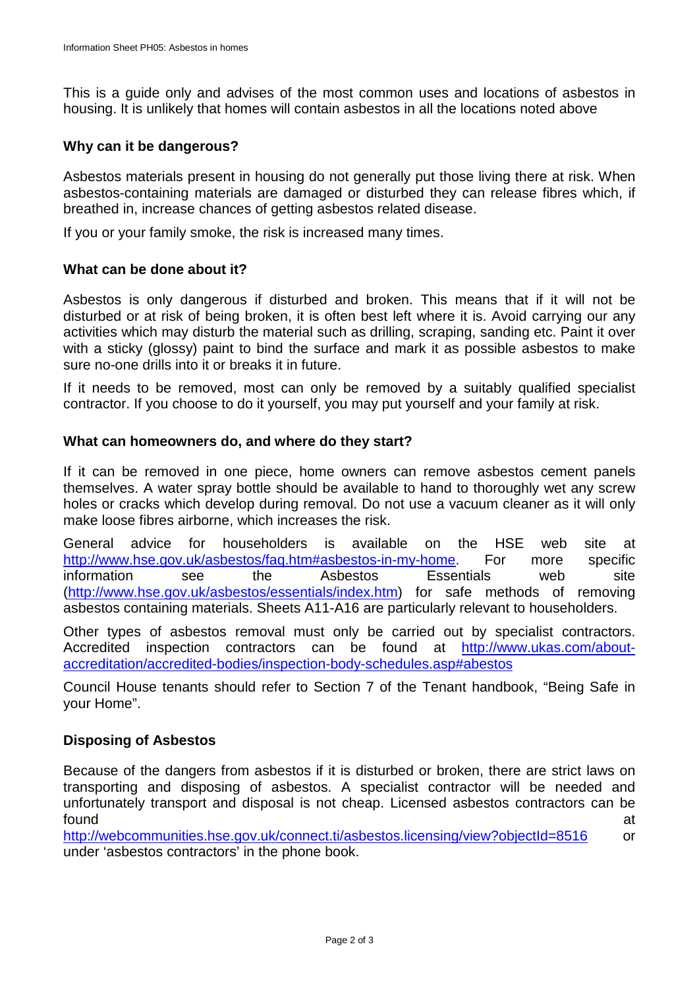This is a guide only and advises of the most common uses and locations of asbestos in housing. It is unlikely that homes will contain asbestos in all the locations noted above

### **Why can it be dangerous?**

Asbestos materials present in housing do not generally put those living there at risk. When asbestos-containing materials are damaged or disturbed they can release fibres which, if breathed in, increase chances of getting asbestos related disease.

If you or your family smoke, the risk is increased many times.

#### **What can be done about it?**

Asbestos is only dangerous if disturbed and broken. This means that if it will not be disturbed or at risk of being broken, it is often best left where it is. Avoid carrying our any activities which may disturb the material such as drilling, scraping, sanding etc. Paint it over with a sticky (glossy) paint to bind the surface and mark it as possible asbestos to make sure no-one drills into it or breaks it in future.

If it needs to be removed, most can only be removed by a suitably qualified specialist contractor. If you choose to do it yourself, you may put yourself and your family at risk.

#### **What can homeowners do, and where do they start?**

If it can be removed in one piece, home owners can remove asbestos cement panels themselves. A water spray bottle should be available to hand to thoroughly wet any screw holes or cracks which develop during removal. Do not use a vacuum cleaner as it will only make loose fibres airborne, which increases the risk.

General advice for householders is available on the HSE web site at [http://www.hse.gov.uk/asbestos/faq.htm#asbestos-in-my-home.](http://www.hse.gov.uk/asbestos/faq.htm#asbestos-in-my-home) For more specific information see the Asbestos Essentials web site [\(http://www.hse.gov.uk/asbestos/essentials/index.htm\)](http://www.hse.gov.uk/asbestos/essentials/index.htm) for safe methods of removing asbestos containing materials. Sheets A11-A16 are particularly relevant to householders.

Other types of asbestos removal must only be carried out by specialist contractors. Accredited inspection contractors can be found at [http://www.ukas.com/about](http://www.ukas.com/about-accreditation/accredited-bodies/inspection-body-schedules.asp#abestos)[accreditation/accredited-bodies/inspection-body-schedules.asp#abestos](http://www.ukas.com/about-accreditation/accredited-bodies/inspection-body-schedules.asp#abestos)

Council House tenants should refer to Section 7 of the Tenant handbook, "Being Safe in your Home".

#### **Disposing of Asbestos**

Because of the dangers from asbestos if it is disturbed or broken, there are strict laws on transporting and disposing of asbestos. A specialist contractor will be needed and unfortunately transport and disposal is not cheap. Licensed asbestos contractors can be found at a state of the state of the state of the state of the state of the state of the state of the state of

<http://webcommunities.hse.gov.uk/connect.ti/asbestos.licensing/view?objectId=8516> or under 'asbestos contractors' in the phone book.